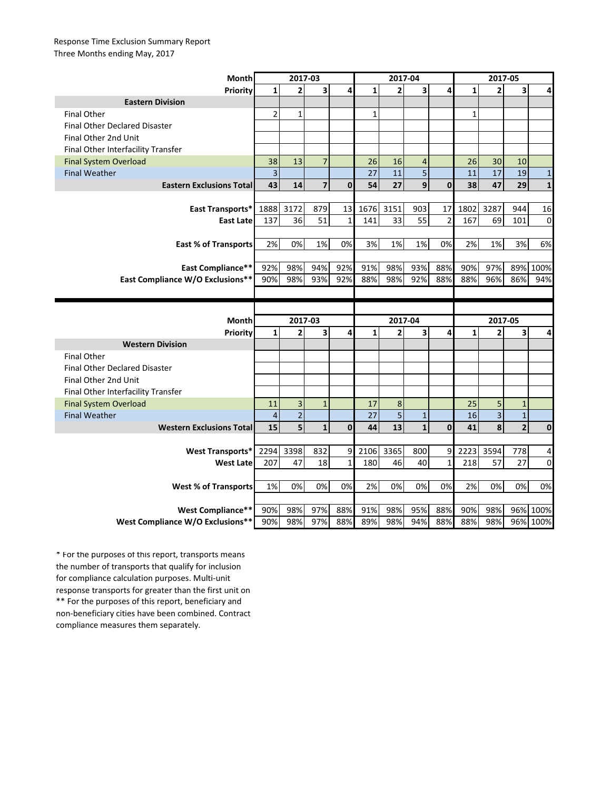## Response Time Exclusion Summary Report Three Months ending May, 2017

| <b>Month</b>                         | 2017-03        |                           |                |              | 2017-04         |                           |                |                | 2017-05      |                           |                |              |
|--------------------------------------|----------------|---------------------------|----------------|--------------|-----------------|---------------------------|----------------|----------------|--------------|---------------------------|----------------|--------------|
| Priority                             | $\mathbf{1}$   | $\overline{2}$            | 3              | 4            | $\mathbf{1}$    | $\overline{2}$            | 3              | 4              | $\mathbf{1}$ | $\overline{2}$            | 3              | 4            |
| <b>Eastern Division</b>              |                |                           |                |              |                 |                           |                |                |              |                           |                |              |
| <b>Final Other</b>                   | 2              | $\mathbf{1}$              |                |              | $\mathbf{1}$    |                           |                |                | $\mathbf{1}$ |                           |                |              |
| <b>Final Other Declared Disaster</b> |                |                           |                |              |                 |                           |                |                |              |                           |                |              |
| Final Other 2nd Unit                 |                |                           |                |              |                 |                           |                |                |              |                           |                |              |
| Final Other Interfacility Transfer   |                |                           |                |              |                 |                           |                |                |              |                           |                |              |
| <b>Final System Overload</b>         | 38             | 13                        | $\overline{7}$ |              | 26              | 16                        | $\overline{4}$ |                | 26           | 30                        | 10             |              |
| <b>Final Weather</b>                 | $\overline{3}$ |                           |                |              | 27              | 11                        | 5              |                | 11           | 17                        | 19             | $\mathbf{1}$ |
| <b>Eastern Exclusions Total</b>      | 43             | 14                        | $\overline{7}$ | $\mathbf{0}$ | 54              | 27                        | 9              | $\mathbf{0}$   | 38           | 47                        | 29             | $\mathbf{1}$ |
|                                      |                |                           |                |              |                 |                           |                |                |              |                           |                |              |
| East Transports*                     | 1888           | 3172                      | 879            | 13           | 1676            | 3151                      | 903            | 17             | 1802         | 3287                      | 944            | 16           |
| <b>East Late</b>                     | 137            | 36                        | 51             | $\mathbf{1}$ | 141             | 33                        | 55             | $\overline{2}$ | 167          | 69                        | 101            | $\mathbf 0$  |
|                                      |                |                           |                |              |                 |                           |                |                |              |                           |                |              |
| <b>East % of Transports</b>          | 2%             | 0%                        | 1%             | 0%           | 3%              | 1%                        | 1%             | 0%             | 2%           | 1%                        | 3%             | 6%           |
|                                      |                |                           |                |              |                 |                           |                |                |              |                           |                |              |
| <b>East Compliance**</b>             | 92%            | 98%                       | 94%            | 92%          | 91%             | 98%                       | 93%            | 88%            | 90%          | 97%                       | 89%            | 100%         |
| East Compliance W/O Exclusions**     | 90%            | 98%                       | 93%            | 92%          | 88%             | 98%                       | 92%            | 88%            | 88%          | 96%                       | 86%            | 94%          |
|                                      |                |                           |                |              |                 |                           |                |                |              |                           |                |              |
|                                      |                |                           |                |              |                 |                           |                |                |              |                           |                |              |
|                                      |                |                           |                |              |                 |                           |                |                |              |                           |                |              |
|                                      |                |                           |                |              |                 |                           |                |                |              |                           |                |              |
| Month                                | $\mathbf{1}$   | 2017-03<br>$\overline{2}$ | 3              | 4            | $1\overline{ }$ | 2017-04<br>$\overline{2}$ | 3              | 4              | $\mathbf{1}$ | 2017-05<br>$\overline{2}$ | 3              | 4            |
| Priority<br><b>Western Division</b>  |                |                           |                |              |                 |                           |                |                |              |                           |                |              |
| <b>Final Other</b>                   |                |                           |                |              |                 |                           |                |                |              |                           |                |              |
| <b>Final Other Declared Disaster</b> |                |                           |                |              |                 |                           |                |                |              |                           |                |              |
| Final Other 2nd Unit                 |                |                           |                |              |                 |                           |                |                |              |                           |                |              |
| Final Other Interfacility Transfer   |                |                           |                |              |                 |                           |                |                |              |                           |                |              |
| <b>Final System Overload</b>         | 11             | $\overline{\mathbf{3}}$   | $\mathbf{1}$   |              | 17              | 8                         |                |                | 25           | 5                         | $\mathbf 1$    |              |
| <b>Final Weather</b>                 | $\overline{4}$ | $\overline{2}$            |                |              | 27              | 5                         | $\mathbf{1}$   |                | 16           | $\overline{3}$            | $\mathbf 1$    |              |
| <b>Western Exclusions Total</b>      | 15             | 5                         | $\mathbf{1}$   | $\mathbf{0}$ | 44              | 13                        | $\mathbf{1}$   | $\mathbf{0}$   | 41           | 8                         | $\overline{2}$ | $\mathbf 0$  |
|                                      |                |                           |                |              |                 |                           |                |                |              |                           |                |              |
| <b>West Transports*</b>              | 2294           | 3398                      | 832            | 9            | 2106            | 3365                      | 800            | 9              | 2223         | 3594                      | 778            | 4            |
| <b>West Late</b>                     | 207            | 47                        | 18             | $\mathbf{1}$ | 180             | 46                        | 40             | $\mathbf{1}$   | 218          | 57                        | 27             | 0            |
|                                      |                |                           |                |              |                 |                           |                |                |              |                           |                |              |
| <b>West % of Transports</b>          | 1%             | 0%                        | 0%             | 0%           | 2%              | 0%                        | 0%             | 0%             | 2%           | 0%                        | 0%             | 0%           |
|                                      |                |                           |                |              |                 |                           |                |                |              |                           |                |              |
| West Compliance**                    | 90%            | 98%                       | 97%            | 88%          | 91%             | 98%                       | 95%            | 88%            | 90%          | 98%                       |                | 96% 100%     |

\*\* For the purposes of this report, beneficiary and non-beneficiary cities have been combined. Contract compliance measures them separately. \* For the purposes of this report, transports means the number of transports that qualify for inclusion for compliance calculation purposes. Multi-unit response transports for greater than the first unit on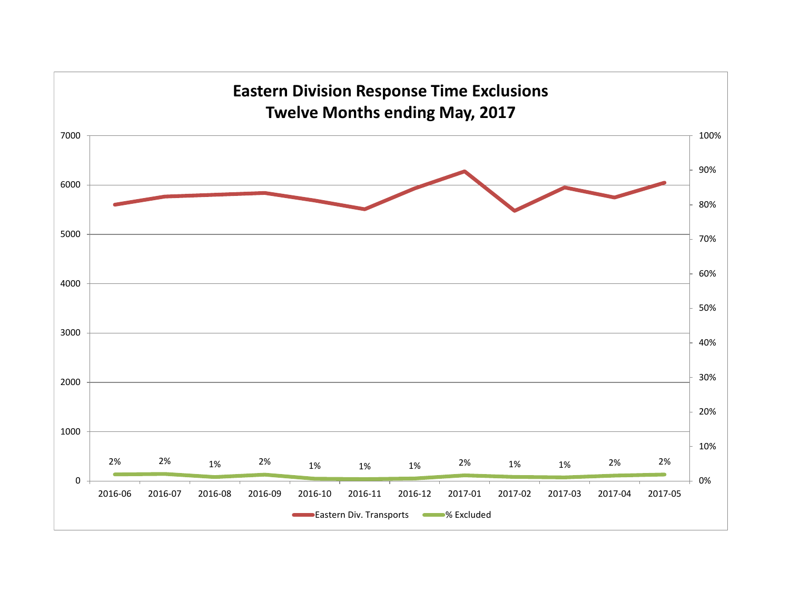